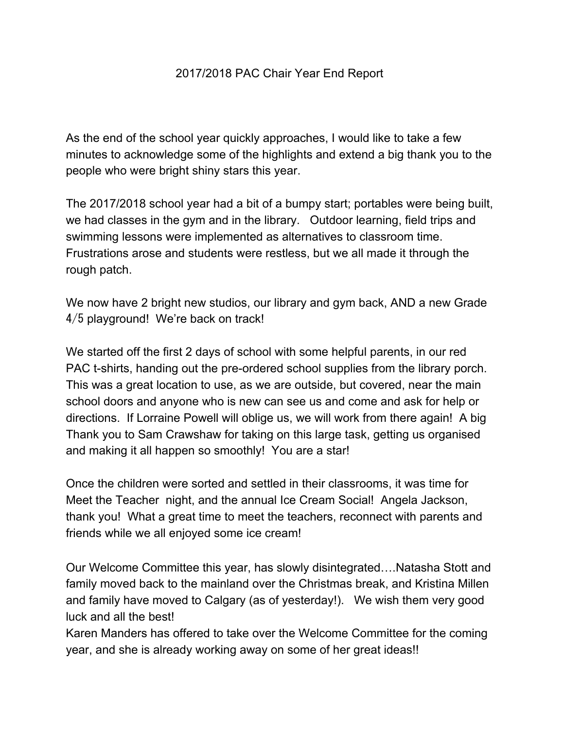## 2017/2018 PAC Chair Year End Report

As the end of the school year quickly approaches, I would like to take a few minutes to acknowledge some of the highlights and extend a big thank you to the people who were bright shiny stars this year.

The 2017/2018 school year had a bit of a bumpy start; portables were being built, we had classes in the gym and in the library. Outdoor learning, field trips and swimming lessons were implemented as alternatives to classroom time. Frustrations arose and students were restless, but we all made it through the rough patch.

We now have 2 bright new studios, our library and gym back, AND a new Grade 4/5 playground! We're back on track!

We started off the first 2 days of school with some helpful parents, in our red PAC t-shirts, handing out the pre-ordered school supplies from the library porch. This was a great location to use, as we are outside, but covered, near the main school doors and anyone who is new can see us and come and ask for help or directions. If Lorraine Powell will oblige us, we will work from there again! A big Thank you to Sam Crawshaw for taking on this large task, getting us organised and making it all happen so smoothly! You are a star!

Once the children were sorted and settled in their classrooms, it was time for Meet the Teacher night, and the annual Ice Cream Social! Angela Jackson, thank you! What a great time to meet the teachers, reconnect with parents and friends while we all enjoyed some ice cream!

Our Welcome Committee this year, has slowly disintegrated….Natasha Stott and family moved back to the mainland over the Christmas break, and Kristina Millen and family have moved to Calgary (as of yesterday!). We wish them very good luck and all the best!

Karen Manders has offered to take over the Welcome Committee for the coming year, and she is already working away on some of her great ideas!!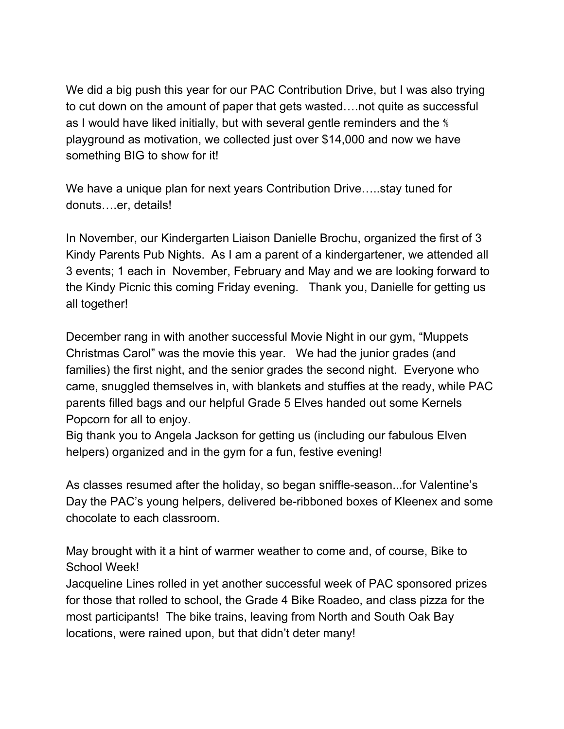We did a big push this year for our PAC Contribution Drive, but I was also trying to cut down on the amount of paper that gets wasted….not quite as successful as I would have liked initially, but with several gentle reminders and the ⅘ playground as motivation, we collected just over \$14,000 and now we have something BIG to show for it!

We have a unique plan for next years Contribution Drive…..stay tuned for donuts….er, details!

In November, our Kindergarten Liaison Danielle Brochu, organized the first of 3 Kindy Parents Pub Nights. As I am a parent of a kindergartener, we attended all 3 events; 1 each in November, February and May and we are looking forward to the Kindy Picnic this coming Friday evening. Thank you, Danielle for getting us all together!

December rang in with another successful Movie Night in our gym, "Muppets Christmas Carol" was the movie this year. We had the junior grades (and families) the first night, and the senior grades the second night. Everyone who came, snuggled themselves in, with blankets and stuffies at the ready, while PAC parents filled bags and our helpful Grade 5 Elves handed out some Kernels Popcorn for all to enjoy.

Big thank you to Angela Jackson for getting us (including our fabulous Elven helpers) organized and in the gym for a fun, festive evening!

As classes resumed after the holiday, so began sniffle-season...for Valentine's Day the PAC's young helpers, delivered be-ribboned boxes of Kleenex and some chocolate to each classroom.

May brought with it a hint of warmer weather to come and, of course, Bike to School Week!

Jacqueline Lines rolled in yet another successful week of PAC sponsored prizes for those that rolled to school, the Grade 4 Bike Roadeo, and class pizza for the most participants! The bike trains, leaving from North and South Oak Bay locations, were rained upon, but that didn't deter many!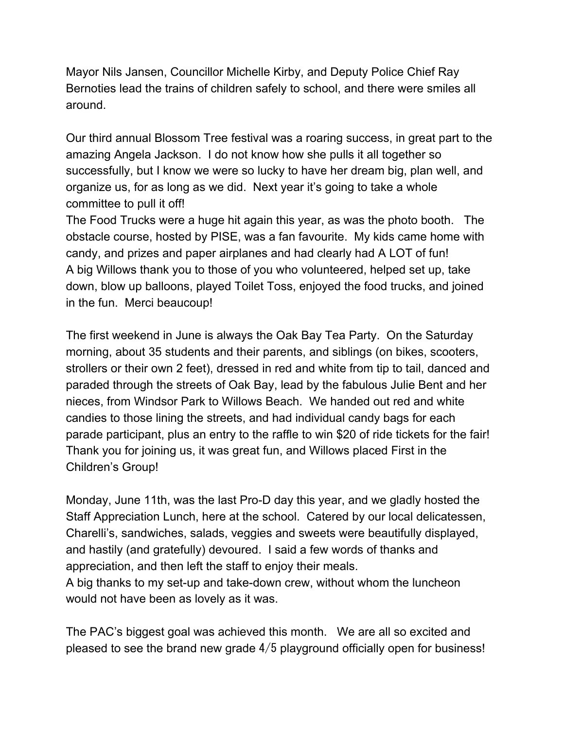Mayor Nils Jansen, Councillor Michelle Kirby, and Deputy Police Chief Ray Bernoties lead the trains of children safely to school, and there were smiles all around.

Our third annual Blossom Tree festival was a roaring success, in great part to the amazing Angela Jackson. I do not know how she pulls it all together so successfully, but I know we were so lucky to have her dream big, plan well, and organize us, for as long as we did. Next year it's going to take a whole committee to pull it off!

The Food Trucks were a huge hit again this year, as was the photo booth. The obstacle course, hosted by PISE, was a fan favourite. My kids came home with candy, and prizes and paper airplanes and had clearly had A LOT of fun! A big Willows thank you to those of you who volunteered, helped set up, take down, blow up balloons, played Toilet Toss, enjoyed the food trucks, and joined in the fun. Merci beaucoup!

The first weekend in June is always the Oak Bay Tea Party. On the Saturday morning, about 35 students and their parents, and siblings (on bikes, scooters, strollers or their own 2 feet), dressed in red and white from tip to tail, danced and paraded through the streets of Oak Bay, lead by the fabulous Julie Bent and her nieces, from Windsor Park to Willows Beach. We handed out red and white candies to those lining the streets, and had individual candy bags for each parade participant, plus an entry to the raffle to win \$20 of ride tickets for the fair! Thank you for joining us, it was great fun, and Willows placed First in the Children's Group!

Monday, June 11th, was the last Pro-D day this year, and we gladly hosted the Staff Appreciation Lunch, here at the school. Catered by our local delicatessen, Charelli's, sandwiches, salads, veggies and sweets were beautifully displayed, and hastily (and gratefully) devoured. I said a few words of thanks and appreciation, and then left the staff to enjoy their meals.

A big thanks to my set-up and take-down crew, without whom the luncheon would not have been as lovely as it was.

The PAC's biggest goal was achieved this month. We are all so excited and pleased to see the brand new grade 4/5 playground officially open for business!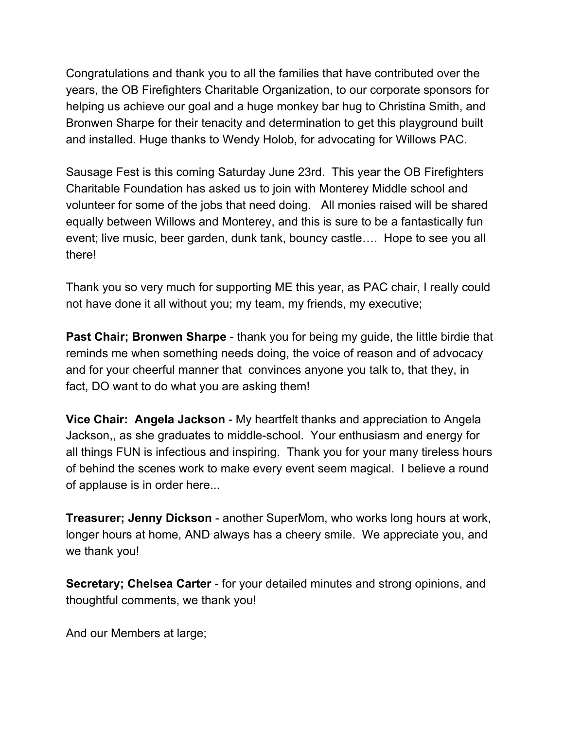Congratulations and thank you to all the families that have contributed over the years, the OB Firefighters Charitable Organization, to our corporate sponsors for helping us achieve our goal and a huge monkey bar hug to Christina Smith, and Bronwen Sharpe for their tenacity and determination to get this playground built and installed. Huge thanks to Wendy Holob, for advocating for Willows PAC.

Sausage Fest is this coming Saturday June 23rd. This year the OB Firefighters Charitable Foundation has asked us to join with Monterey Middle school and volunteer for some of the jobs that need doing. All monies raised will be shared equally between Willows and Monterey, and this is sure to be a fantastically fun event; live music, beer garden, dunk tank, bouncy castle…. Hope to see you all there!

Thank you so very much for supporting ME this year, as PAC chair, I really could not have done it all without you; my team, my friends, my executive;

**Past Chair; Bronwen Sharpe** - thank you for being my guide, the little birdie that reminds me when something needs doing, the voice of reason and of advocacy and for your cheerful manner that convinces anyone you talk to, that they, in fact, DO want to do what you are asking them!

**Vice Chair: Angela Jackson** - My heartfelt thanks and appreciation to Angela Jackson,, as she graduates to middle-school. Your enthusiasm and energy for all things FUN is infectious and inspiring. Thank you for your many tireless hours of behind the scenes work to make every event seem magical. I believe a round of applause is in order here...

**Treasurer; Jenny Dickson** - another SuperMom, who works long hours at work, longer hours at home, AND always has a cheery smile. We appreciate you, and we thank you!

**Secretary; Chelsea Carter** - for your detailed minutes and strong opinions, and thoughtful comments, we thank you!

And our Members at large;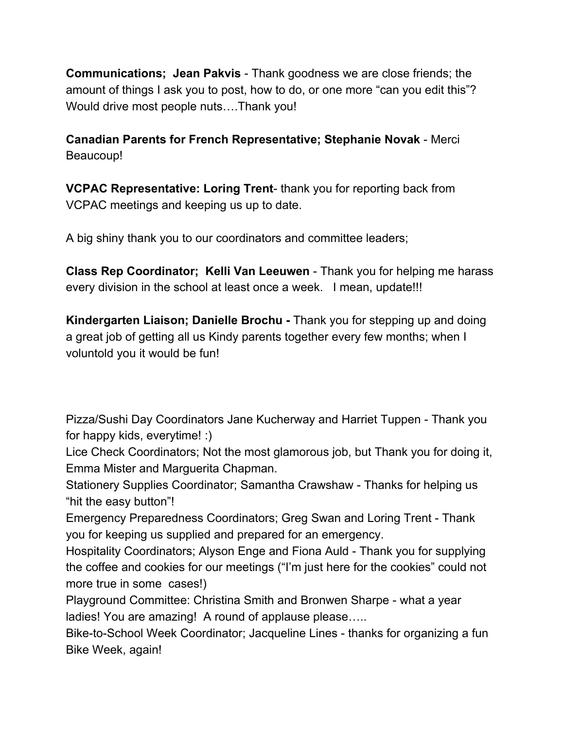**Communications; Jean Pakvis** - Thank goodness we are close friends; the amount of things I ask you to post, how to do, or one more "can you edit this"? Would drive most people nuts….Thank you!

**Canadian Parents for French Representative; Stephanie Novak** - Merci Beaucoup!

**VCPAC Representative: Loring Trent**- thank you for reporting back from VCPAC meetings and keeping us up to date.

A big shiny thank you to our coordinators and committee leaders;

**Class Rep Coordinator; Kelli Van Leeuwen** - Thank you for helping me harass every division in the school at least once a week. I mean, update!!!

**Kindergarten Liaison; Danielle Brochu -** Thank you for stepping up and doing a great job of getting all us Kindy parents together every few months; when I voluntold you it would be fun!

Pizza/Sushi Day Coordinators Jane Kucherway and Harriet Tuppen - Thank you for happy kids, everytime! :)

Lice Check Coordinators; Not the most glamorous job, but Thank you for doing it, Emma Mister and Marguerita Chapman.

Stationery Supplies Coordinator; Samantha Crawshaw - Thanks for helping us "hit the easy button"!

Emergency Preparedness Coordinators; Greg Swan and Loring Trent - Thank you for keeping us supplied and prepared for an emergency.

Hospitality Coordinators; Alyson Enge and Fiona Auld - Thank you for supplying the coffee and cookies for our meetings ("I'm just here for the cookies" could not more true in some cases!)

Playground Committee: Christina Smith and Bronwen Sharpe - what a year ladies! You are amazing! A round of applause please…..

Bike-to-School Week Coordinator; Jacqueline Lines - thanks for organizing a fun Bike Week, again!